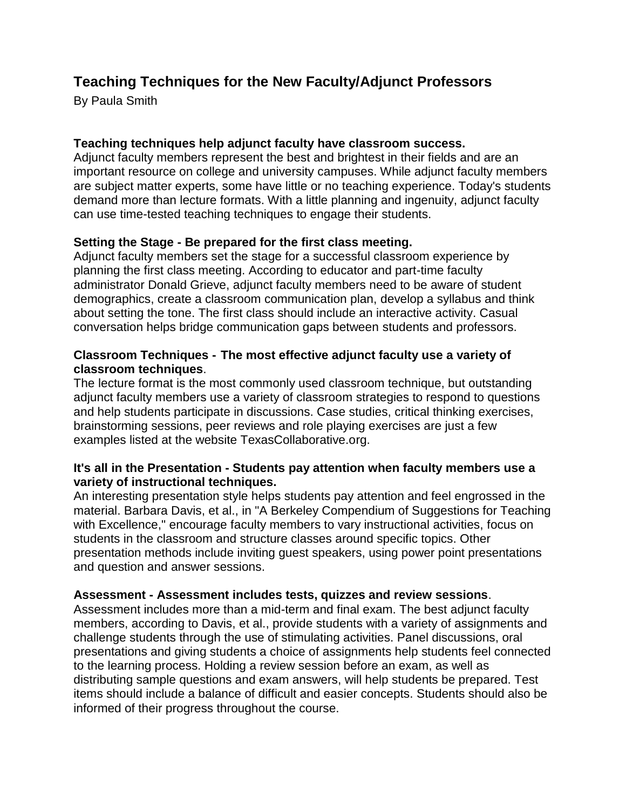# **Teaching Techniques for the New Faculty/Adjunct Professors**

By Paula Smith

# **Teaching techniques help adjunct faculty have classroom success.**

Adjunct faculty members represent the best and brightest in their fields and are an important resource on college and university campuses. While adjunct faculty members are subject matter experts, some have little or no teaching experience. Today's students demand more than lecture formats. With a little planning and ingenuity, adjunct faculty can use time-tested teaching techniques to engage their students.

## **Setting the Stage - Be prepared for the first class meeting.**

Adjunct faculty members set the stage for a successful classroom experience by planning the first class meeting. According to educator and part-time faculty administrator Donald Grieve, adjunct faculty members need to be aware of student demographics, create a classroom communication plan, develop a syllabus and think about setting the tone. The first class should include an interactive activity. Casual conversation helps bridge communication gaps between [students](http://www.ehow.com/info_7969954_teaching-techniques-adjunct-professor.html) and professors.

## **Classroom Techniques - The most effective adjunct faculty use a variety of classroom techniques**.

The lecture format is the most commonly used [classroom](http://www.ehow.com/info_7969954_teaching-techniques-adjunct-professor.html) technique, but outstanding adjunct faculty members use a variety of classroom strategies to respond to questions and help students participate in discussions. Case studies, critical thinking exercises, brainstorming sessions, peer reviews and role playing exercises are just a few examples listed at the website TexasCollaborative.org.

#### **It's all in the Presentation - Students pay attention when faculty members use a variety of instructional techniques.**

An interesting presentation style helps students pay attention and feel engrossed in the material. Barbara Davis, et al., in "A Berkeley Compendium of Suggestions for Teaching with Excellence," encourage faculty members to vary instructional activities, [focus](http://www.ehow.com/info_7969954_teaching-techniques-adjunct-professor.html) on students in the classroom and structure classes around specific topics. Other presentation methods include inviting guest speakers, using power point presentations and question and answer sessions.

#### **Assessment - Assessment includes tests, quizzes and review sessions**.

Assessment includes more than a mid-term and final exam. The best adjunct faculty members, according to Davis, et al., provide students with a variety of assignments and challenge students through the use of stimulating activities. Panel discussions, oral presentations and giving students a choice of assignments help students feel connected to the learning process. Holding a review session before an exam, as well as distributing sample questions and exam answers, will help students be prepared. Test items should include a balance of difficult and easier concepts. Students should also be informed of their progress throughout the course.